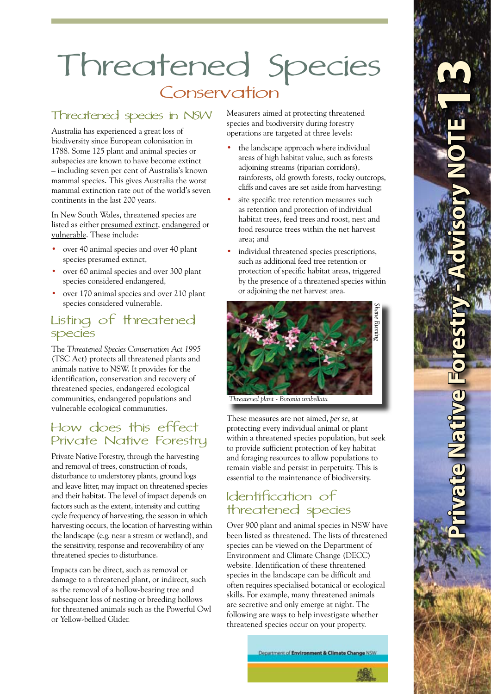# Threatened Species **Conservation**

## Threatened species in NSW

Australia has experienced a great loss of biodiversity since European colonisation in 1788. Some 125 plant and animal species or subspecies are known to have become extinct – including seven per cent of Australia's known mammal species. This gives Australia the worst mammal extinction rate out of the world's seven continents in the last 200 years.

In New South Wales, threatened species are listed as either presumed extinct, endangered or vulnerable. These include:

- over 40 animal species and over 40 plant species presumed extinct, •
- over 60 animal species and over 300 plant species considered endangered, •
- over 170 animal species and over 210 plant species considered vulnerable. •

#### Listing of threatened species

The *Threatened Species Conservation Act 1995*  (TSC Act) protects all threatened plants and animals native to NSW. It provides for the identification, conservation and recovery of threatened species, endangered ecological communities, endangered populations and vulnerable ecological communities.

#### How does this effect Private Native Forestry

Private Native Forestry, through the harvesting and removal of trees, construction of roads, disturbance to understorey plants, ground logs and leave litter, may impact on threatened species and their habitat. The level of impact depends on factors such as the extent, intensity and cutting cycle frequency of harvesting, the season in which harvesting occurs, the location of harvesting within the landscape (e.g. near a stream or wetland), and the sensitivity, response and recoverability of any threatened species to disturbance.

Impacts can be direct, such as removal or damage to a threatened plant, or indirect, such as the removal of a hollow-bearing tree and subsequent loss of nesting or breeding hollows for threatened animals such as the Powerful Owl or Yellow-bellied Glider.

Measurers aimed at protecting threatened species and biodiversity during forestry operations are targeted at three levels:

- the landscape approach where individual areas of high habitat value, such as forests adjoining streams (riparian corridors), rainforests, old growth forests, rocky outcrops, cliffs and caves are set aside from harvesting; •
- site specific tree retention measures such as retention and protection of individual habitat trees, feed trees and roost, nest and food resource trees within the net harvest area; and •
- individual threatened species prescriptions, such as additional feed tree retention or protection of specific habitat areas, triggered by the presence of a threatened species within or adjoining the net harvest area. •



*Threatened plant - Boronia umbellata*

These measures are not aimed, *per se*, at protecting every individual animal or plant within a threatened species population, but seek to provide sufficient protection of key habitat and foraging resources to allow populations to remain viable and persist in perpetuity. This is essential to the maintenance of biodiversity.

# Identification of threatened species

Over 900 plant and animal species in NSW have been listed as threatened. The lists of threatened species can be viewed on the Department of Environment and Climate Change (DECC) website. Identification of these threatened species in the landscape can be difficult and often requires specialised botanical or ecological skills. For example, many threatened animals are secretive and only emerge at night. The following are ways to help investigate whether threatened species occur on your property.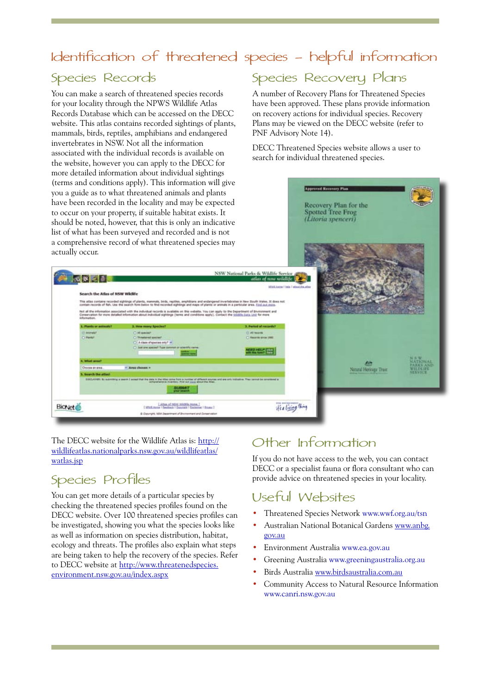# Identification of threatened species - helpful information

#### Species Records

You can make a search of threatened species records for your locality through the NPWS Wildlife Atlas Records Database which can be accessed on the DECC website. This atlas contains recorded sightings of plants, mammals, birds, reptiles, amphibians and endangered invertebrates in NSW. Not all the information associated with the individual records is available on the website, however you can apply to the DECC for more detailed information about individual sightings (terms and conditions apply). This information will give

#### Species Recovery Plans

A number of Recovery Plans for Threatened Species have been approved. These plans provide information on recovery actions for individual species. Recovery Plans may be viewed on the DECC website (refer to PNF Advisory Note 14).

DECC Threatened Species website allows a user to search for individual threatened species.



The DECC website for the Wildlife Atlas is: http:// wildlifeatlas.nationalparks.nsw.gov.au/wildlifeatlas/ watlas.jsp

# Species Profiles

You can get more details of a particular species by checking the threatened species profiles found on the DECC website. Over 100 threatened species profiles can be investigated, showing you what the species looks like as well as information on species distribution, habitat, ecology and threats. The profiles also explain what steps are being taken to help the recovery of the species. Refer to DECC website at http://www.threatenedspecies. environment.nsw.gov.au/index.aspx

# Other Information

If you do not have access to the web, you can contact DECC or a specialist fauna or flora consultant who can provide advice on threatened species in your locality.

#### Useful Websites

- Threatened Species Network www.wwf.org.au/tsn •
- Australian National Botanical Gardens www.anbg. gov.au •
- Environment Australia www.ea.gov.au •
- Greening Australia www.greeningaustralia.org.au •
- Birds Australia www.birdsaustralia.com.au •
- Community Access to Natural Resource Information www.canri.nsw.gov.au •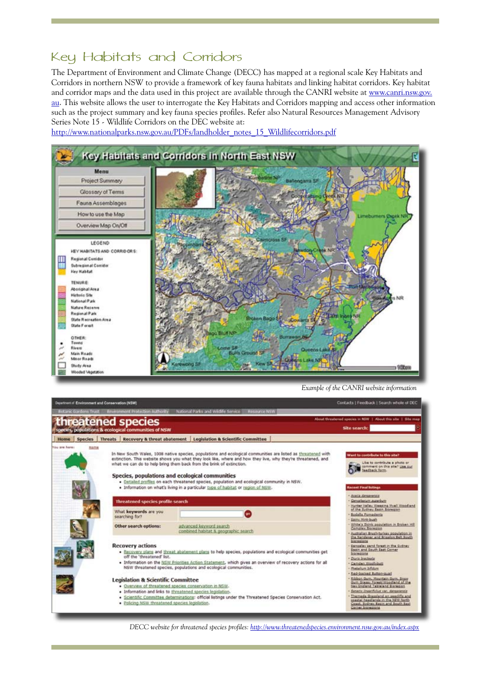## Key Habitats and Corridors

The Department of Environment and Climate Change (DECC) has mapped at a regional scale Key Habitats and Corridors in northern NSW to provide a framework of key fauna habitats and linking habitat corridors. Key habitat and corridor maps and the data used in this project are available through the CANRI website at www.canri.nsw.gov. au. This website allows the user to interrogate the Key Habitats and Corridors mapping and access other information such as the project summary and key fauna species profiles. Refer also Natural Resources Management Advisory Series Note 15 - Wildlife Corridors on the DEC website at:

http://www.nationalparks.nsw.gov.au/PDFs/landholder\_notes\_15\_Wildlifecorridors.pdf



*Example of the CANRI website information*

|              |                                                      |                                                                                                                                                                                                                                                                                                                                                                                                                                                                                                                                                                                                                                                                                       | threatened species                      |  |                                                                 |              | About threatened species in NSW   About this site   Site map                                                                                                                                                                                                                                                                                                                                                                                                                            |  |
|--------------|------------------------------------------------------|---------------------------------------------------------------------------------------------------------------------------------------------------------------------------------------------------------------------------------------------------------------------------------------------------------------------------------------------------------------------------------------------------------------------------------------------------------------------------------------------------------------------------------------------------------------------------------------------------------------------------------------------------------------------------------------|-----------------------------------------|--|-----------------------------------------------------------------|--------------|-----------------------------------------------------------------------------------------------------------------------------------------------------------------------------------------------------------------------------------------------------------------------------------------------------------------------------------------------------------------------------------------------------------------------------------------------------------------------------------------|--|
|              | species, populations & ecological communities of NSW |                                                                                                                                                                                                                                                                                                                                                                                                                                                                                                                                                                                                                                                                                       |                                         |  |                                                                 | Site search: |                                                                                                                                                                                                                                                                                                                                                                                                                                                                                         |  |
| Home         | <b>Species</b>                                       | <b>Threats</b>                                                                                                                                                                                                                                                                                                                                                                                                                                                                                                                                                                                                                                                                        | Recovery & threat abatement             |  | <b>Legislation &amp; Scientific Committee</b>                   |              |                                                                                                                                                                                                                                                                                                                                                                                                                                                                                         |  |
| du are hore: | Nome                                                 | In New South Wales, 1008 native species, populations and ecological communities are listed as threatened with<br>extinction. This website shows you what they look like, where and how they live, why they're threatened, and<br>what we can do to help bring them back from the brink of extinction.<br>Species, populations and ecological communities<br>. Dataled profiles on each threatened species, population and ecological community in NSW.<br>. Information on what's living in a particular type of habitat or region of NSW.                                                                                                                                            |                                         |  |                                                                 |              | Want to contribute to this site?<br>Like to contribute a photo or<br>comment on this site? Use our<br>feedback form<br><b>Racent Final listings</b>                                                                                                                                                                                                                                                                                                                                     |  |
|              |                                                      | Threatened species profile search                                                                                                                                                                                                                                                                                                                                                                                                                                                                                                                                                                                                                                                     |                                         |  |                                                                 |              | Acada dansareciza<br>Genuslesium auserbum<br>Hunter Valley Weeping Myall Woodland<br>of the Sydney Basin Bioregian                                                                                                                                                                                                                                                                                                                                                                      |  |
|              |                                                      |                                                                                                                                                                                                                                                                                                                                                                                                                                                                                                                                                                                                                                                                                       | What keywords are you<br>searching for? |  |                                                                 |              | <b>Bodalla Pomaderia</b><br>Sainy Mint-bush                                                                                                                                                                                                                                                                                                                                                                                                                                             |  |
|              |                                                      |                                                                                                                                                                                                                                                                                                                                                                                                                                                                                                                                                                                                                                                                                       | Other search options:                   |  | advanced keyword search<br>combined habitat & geographic search |              | White's Skink population in Broken Hill<br>Campley Biotegion<br>Australian Brush-burkey population in<br>the Randersar and Brigalon Belt South                                                                                                                                                                                                                                                                                                                                          |  |
|              |                                                      | <b>Recovery actions</b><br>. Recovery plans and threat abatement plans to help species, populations and ecological communities get<br>off the 'threatened' list.<br>. Information on the NSW Priorities Action Statement, which gives an overview of recovery actions for all<br>NSW threatened species, populations and ecological communities.<br><b>Legislation &amp; Scientific Committee</b><br>. Overview of threatened species conservation in NSW-<br>· Information and links to threatened species legislation.<br>. Scientific Committee determinations: official listings under the Threatened Species Conservation Act.<br>· Policing NSW threatened species legislation. |                                         |  |                                                                 |              | <b>Instructions</b><br>Sengalay sand forest in the Sydney<br>Easin and South East Corner<br>tionegant<br>Diuris bracteata<br>Camden Weshingth<br>Metalum bifolum<br>Red-backed Button-quali<br>flibbon Gum, Mountain Gum, Snee<br>Sum Grass: Forest/Woodland of the<br>law England, Tableland Bienegien<br>Senacis linear/folus var. dansarenziz<br>Themeda Grassland on assolif's and<br>coastal headlands in the NEW North<br>Coast, Bedney Ragin and South East<br>Carner bioresions |  |

*DECC website for threatened species profiles: http://www.threatenedspecies.environment.nsw.gov.au/index.aspx*